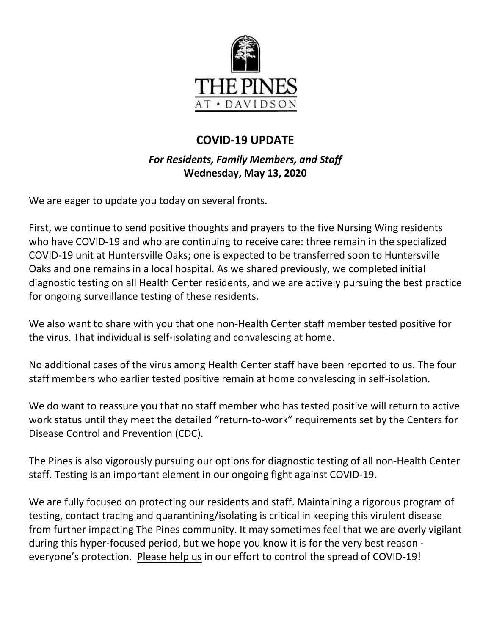

# **COVID-19 UPDATE**

*For Residents, Family Members, and Staff* **Wednesday, May 13, 2020**

We are eager to update you today on several fronts.

First, we continue to send positive thoughts and prayers to the five Nursing Wing residents who have COVID-19 and who are continuing to receive care: three remain in the specialized COVID-19 unit at Huntersville Oaks; one is expected to be transferred soon to Huntersville Oaks and one remains in a local hospital. As we shared previously, we completed initial diagnostic testing on all Health Center residents, and we are actively pursuing the best practice for ongoing surveillance testing of these residents.

We also want to share with you that one non-Health Center staff member tested positive for the virus. That individual is self-isolating and convalescing at home.

No additional cases of the virus among Health Center staff have been reported to us. The four staff members who earlier tested positive remain at home convalescing in self-isolation.

We do want to reassure you that no staff member who has tested positive will return to active work status until they meet the detailed "return-to-work" requirements set by the Centers for Disease Control and Prevention (CDC).

The Pines is also vigorously pursuing our options for diagnostic testing of all non-Health Center staff. Testing is an important element in our ongoing fight against COVID-19.

We are fully focused on protecting our residents and staff. Maintaining a rigorous program of testing, contact tracing and quarantining/isolating is critical in keeping this virulent disease from further impacting The Pines community. It may sometimes feel that we are overly vigilant during this hyper-focused period, but we hope you know it is for the very best reason everyone's protection. Please help us in our effort to control the spread of COVID-19!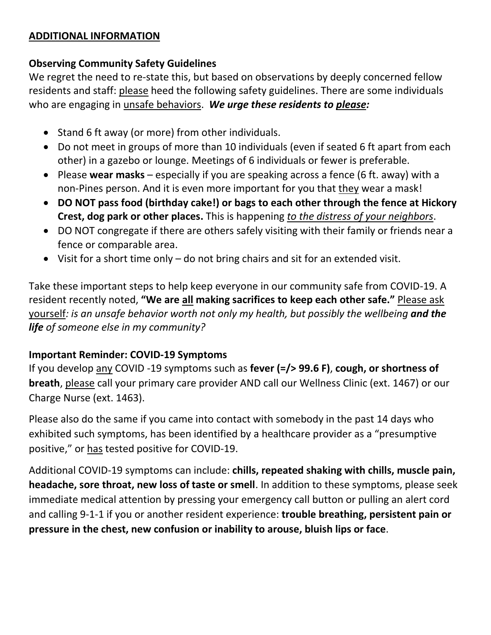#### **ADDITIONAL INFORMATION**

### **Observing Community Safety Guidelines**

We regret the need to re-state this, but based on observations by deeply concerned fellow residents and staff: please heed the following safety guidelines. There are some individuals who are engaging in unsafe behaviors. *We urge these residents to please:*

- Stand 6 ft away (or more) from other individuals.
- Do not meet in groups of more than 10 individuals (even if seated 6 ft apart from each other) in a gazebo or lounge. Meetings of 6 individuals or fewer is preferable.
- Please **wear masks** especially if you are speaking across a fence (6 ft. away) with a non-Pines person. And it is even more important for you that they wear a mask!
- **DO NOT pass food (birthday cake!) or bags to each other through the fence at Hickory Crest, dog park or other places.** This is happening *to the distress of your neighbors*.
- DO NOT congregate if there are others safely visiting with their family or friends near a fence or comparable area.
- Visit for a short time only do not bring chairs and sit for an extended visit.

Take these important steps to help keep everyone in our community safe from COVID-19. A resident recently noted, **"We are all making sacrifices to keep each other safe."** Please ask yourself*: is an unsafe behavior worth not only my health, but possibly the wellbeing and the life of someone else in my community?*

# **Important Reminder: COVID-19 Symptoms**

If you develop any COVID -19 symptoms such as **fever (=/> 99.6 F)**, **cough, or shortness of breath**, please call your primary care provider AND call our Wellness Clinic (ext. 1467) or our Charge Nurse (ext. 1463).

Please also do the same if you came into contact with somebody in the past 14 days who exhibited such symptoms, has been identified by a healthcare provider as a "presumptive positive," or has tested positive for COVID-19.

Additional COVID-19 symptoms can include: **chills, repeated shaking with chills, muscle pain, headache, sore throat, new loss of taste or smell**. In addition to these symptoms, please seek immediate medical attention by pressing your emergency call button or pulling an alert cord and calling 9-1-1 if you or another resident experience: **trouble breathing, persistent pain or pressure in the chest, new confusion or inability to arouse, bluish lips or face**.